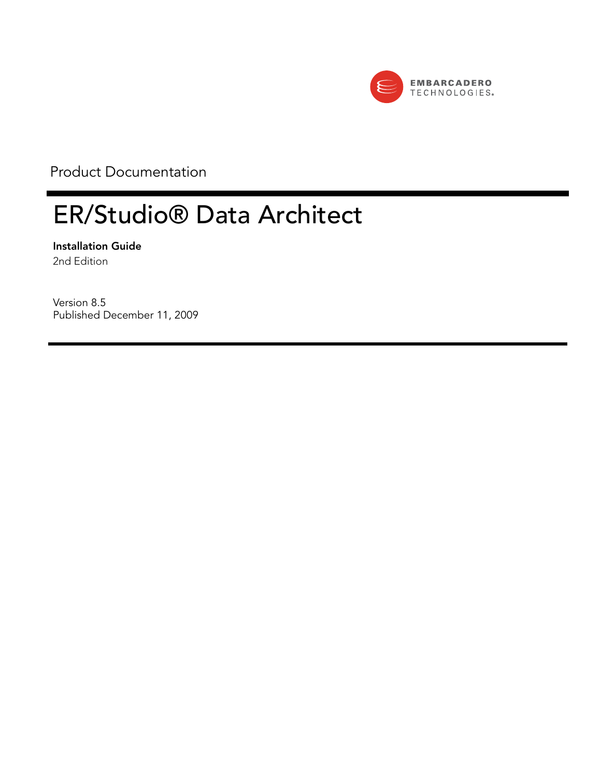

Product Documentation

# ER/Studio® Data Architect

**Installation Guide** 2nd Edition

Version 8.5 Published December 11, 2009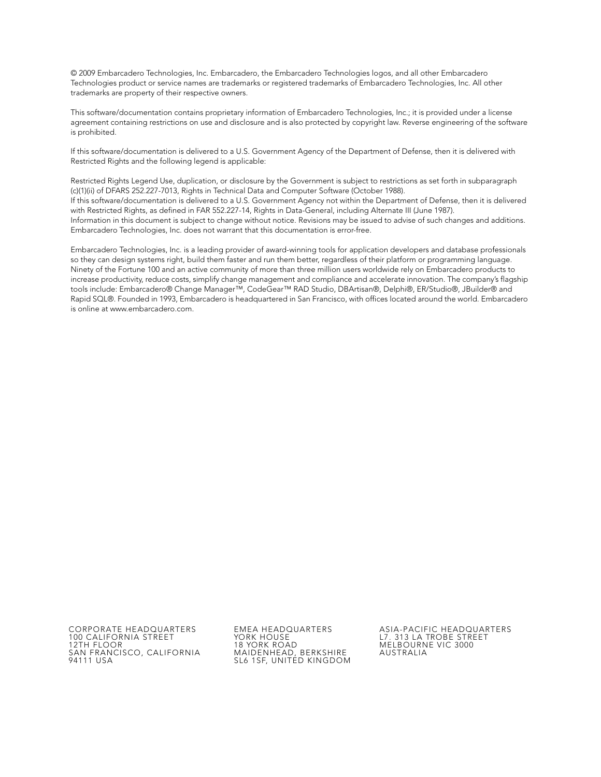© 2009 Embarcadero Technologies, Inc. Embarcadero, the Embarcadero Technologies logos, and all other Embarcadero Technologies product or service names are trademarks or registered trademarks of Embarcadero Technologies, Inc. All other trademarks are property of their respective owners.

This software/documentation contains proprietary information of Embarcadero Technologies, Inc.; it is provided under a license agreement containing restrictions on use and disclosure and is also protected by copyright law. Reverse engineering of the software is prohibited.

If this software/documentation is delivered to a U.S. Government Agency of the Department of Defense, then it is delivered with Restricted Rights and the following legend is applicable:

Restricted Rights Legend Use, duplication, or disclosure by the Government is subject to restrictions as set forth in subparagraph (c)(1)(ii) of DFARS 252.227-7013, Rights in Technical Data and Computer Software (October 1988). If this software/documentation is delivered to a U.S. Government Agency not within the Department of Defense, then it is delivered with Restricted Rights, as defined in FAR 552.227-14, Rights in Data-General, including Alternate III (June 1987). Information in this document is subject to change without notice. Revisions may be issued to advise of such changes and additions. Embarcadero Technologies, Inc. does not warrant that this documentation is error-free.

Embarcadero Technologies, Inc. is a leading provider of award-winning tools for application developers and database professionals so they can design systems right, build them faster and run them better, regardless of their platform or programming language. Ninety of the Fortune 100 and an active community of more than three million users worldwide rely on Embarcadero products to increase productivity, reduce costs, simplify change management and compliance and accelerate innovation. The company's flagship tools include: Embarcadero® Change Manager™, CodeGear™ RAD Studio, DBArtisan®, Delphi®, ER/Studio®, JBuilder® and Rapid SQL®. Founded in 1993, Embarcadero is headquartered in San Francisco, with offices located around the world. Embarcadero is online at www.embarcadero.com.

100 CALIFORNIA STREET 12TH FLOOR SAN FRANCISCO, CALIFORNIA 94111 USA

YORK HOUSE 18 YORK ROAD MAIDENHEAD, BERKSHIRE SL6 1SF, UNITED KINGDOM

CORPORATE HEADQUARTERS EMEA HEADQUARTERS ASIA-PACIFIC HEADQUARTERS L7. 313 LA TROBE STREET MELBOURNE VIC 3000 AUSTRALIA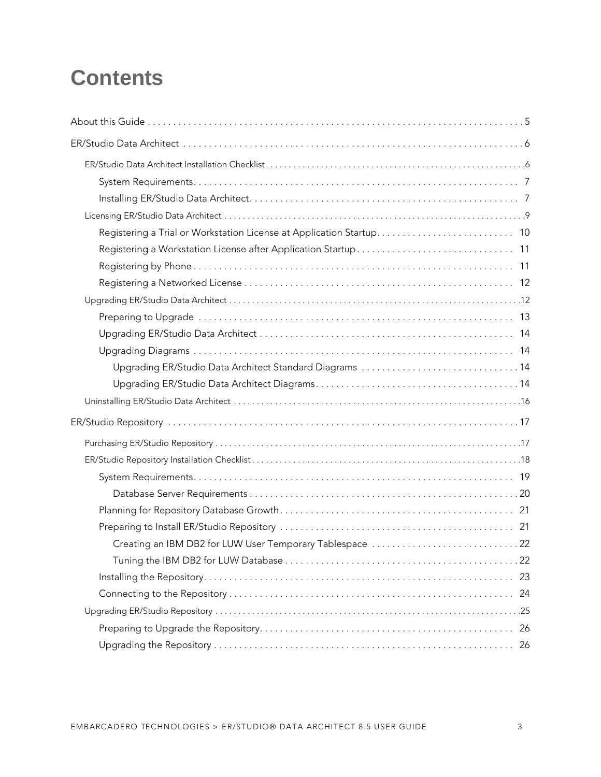# **Contents**

| Registering a Trial or Workstation License at Application Startup 10 |     |
|----------------------------------------------------------------------|-----|
|                                                                      |     |
|                                                                      |     |
|                                                                      |     |
|                                                                      |     |
|                                                                      |     |
|                                                                      |     |
|                                                                      |     |
| Upgrading ER/Studio Data Architect Standard Diagrams 14              |     |
|                                                                      |     |
|                                                                      |     |
|                                                                      |     |
|                                                                      |     |
|                                                                      |     |
|                                                                      |     |
|                                                                      |     |
|                                                                      |     |
|                                                                      |     |
| Creating an IBM DB2 for LUW User Temporary Tablespace 22             |     |
|                                                                      |     |
|                                                                      |     |
|                                                                      | 24  |
|                                                                      |     |
|                                                                      | -26 |
|                                                                      |     |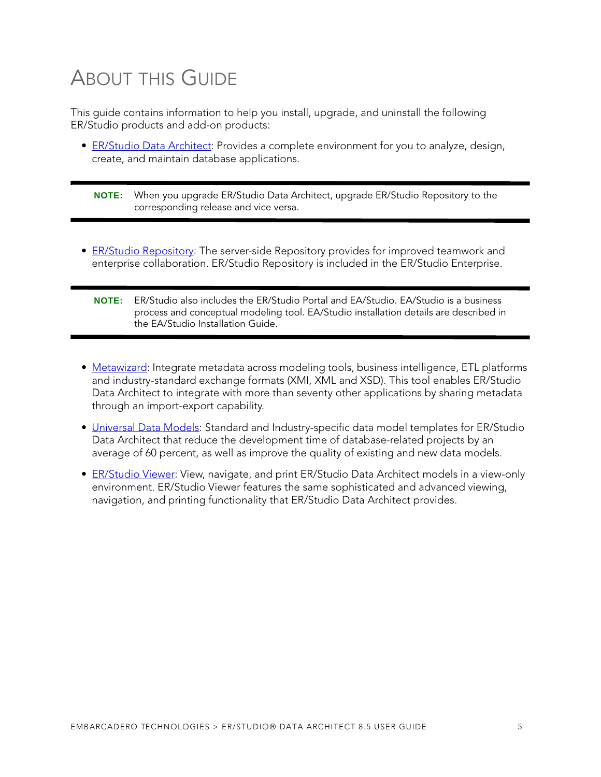# <span id="page-4-0"></span>ABOUT THIS GUIDE

This guide contains information to help you install, upgrade, and uninstall the following ER/Studio products and add-on products:

• [ER/Studio Data Architect](#page-5-0): Provides a complete environment for you to analyze, design, create, and maintain database applications.

**NOTE:** When you upgrade ER/Studio Data Architect, upgrade ER/Studio Repository to the corresponding release and vice versa.

- [ER/Studio Repository](#page-16-0): The server-side Repository provides for improved teamwork and enterprise collaboration. ER/Studio Repository is included in the ER/Studio Enterprise.
	- **NOTE:** ER/Studio also includes the ER/Studio Portal and EA/Studio. EA/Studio is a business process and conceptual modeling tool. EA/Studio installation details are described in the EA/Studio Installation Guide.
- [Metawizard:](#page-28-0) Integrate metadata across modeling tools, business intelligence, ETL platforms and industry-standard exchange formats (XMI, XML and XSD). This tool enables ER/Studio Data Architect to integrate with more than seventy other applications by sharing metadata through an import-export capability.
- [Universal Data Models](#page-30-0): Standard and Industry-specific data model templates for ER/Studio Data Architect that reduce the development time of database-related projects by an average of 60 percent, as well as improve the quality of existing and new data models.
- [ER/Studio Viewer](#page-31-0): View, navigate, and print ER/Studio Data Architect models in a view-only environment. ER/Studio Viewer features the same sophisticated and advanced viewing, navigation, and printing functionality that ER/Studio Data Architect provides.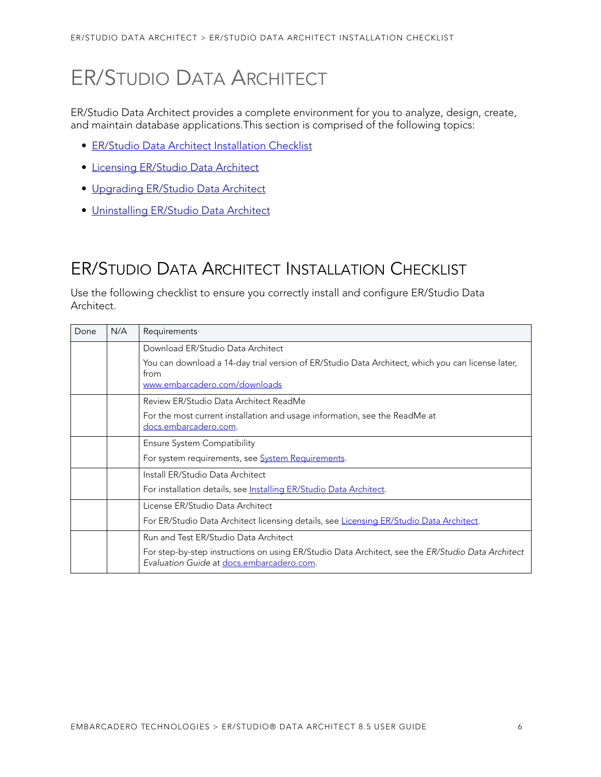# <span id="page-5-0"></span>ER/STUDIO DATA ARCHITECT

ER/Studio Data Architect provides a complete environment for you to analyze, design, create, and maintain database applications.This section is comprised of the following topics:

- [ER/Studio Data Architect Installation Checklist](#page-5-1)
- [Licensing ER/Studio Data Architect](#page-8-0)
- [Upgrading ER/Studio Data Architect](#page-11-1)
- [Uninstalling ER/Studio Data Architect](#page-15-0)

# <span id="page-5-1"></span>ER/STUDIO DATA ARCHITECT INSTALLATION CHECKLIST

Use the following checklist to ensure you correctly install and configure ER/Studio Data Architect.

| Done | N/A | Requirements                                                                                                                                   |
|------|-----|------------------------------------------------------------------------------------------------------------------------------------------------|
|      |     | Download ER/Studio Data Architect                                                                                                              |
|      |     | You can download a 14-day trial version of ER/Studio Data Architect, which you can license later,<br>from<br>www.embarcadero.com/downloads     |
|      |     | Review ER/Studio Data Architect ReadMe                                                                                                         |
|      |     | For the most current installation and usage information, see the ReadMe at<br>docs.embarcadero.com.                                            |
|      |     | Ensure System Compatibility                                                                                                                    |
|      |     | For system requirements, see <b>System Requirements</b> .                                                                                      |
|      |     | Install ER/Studio Data Architect                                                                                                               |
|      |     | For installation details, see Installing ER/Studio Data Architect.                                                                             |
|      |     | License ER/Studio Data Architect                                                                                                               |
|      |     | For ER/Studio Data Architect licensing details, see Licensing ER/Studio Data Architect.                                                        |
|      |     | Run and Test ER/Studio Data Architect                                                                                                          |
|      |     | For step-by-step instructions on using ER/Studio Data Architect, see the ER/Studio Data Architect<br>Evaluation Guide at docs.embarcadero.com. |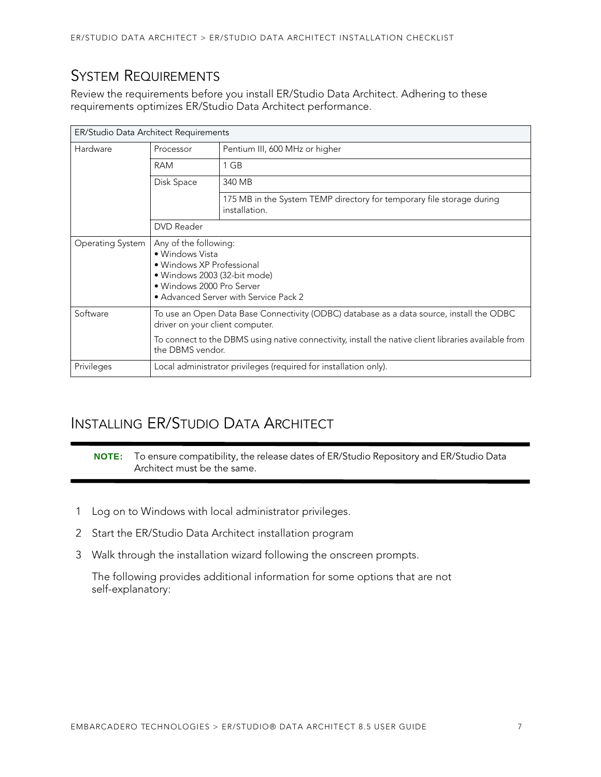## <span id="page-6-0"></span>SYSTEM REQUIREMENTS

Review the requirements before you install ER/Studio Data Architect. Adhering to these requirements optimizes ER/Studio Data Architect performance.

| ER/Studio Data Architect Requirements |                                                                                                                                                                                                                                                         |                                                                                        |  |  |  |
|---------------------------------------|---------------------------------------------------------------------------------------------------------------------------------------------------------------------------------------------------------------------------------------------------------|----------------------------------------------------------------------------------------|--|--|--|
| Hardware                              | Processor                                                                                                                                                                                                                                               | Pentium III, 600 MHz or higher                                                         |  |  |  |
|                                       | RAM                                                                                                                                                                                                                                                     | 1 GB                                                                                   |  |  |  |
|                                       | Disk Space                                                                                                                                                                                                                                              | 340 MB                                                                                 |  |  |  |
|                                       |                                                                                                                                                                                                                                                         | 175 MB in the System TEMP directory for temporary file storage during<br>installation. |  |  |  |
|                                       | DVD Reader                                                                                                                                                                                                                                              |                                                                                        |  |  |  |
| Operating System                      | Any of the following:<br>· Windows Vista<br>• Windows XP Professional<br>• Windows 2003 (32-bit mode)<br>· Windows 2000 Pro Server<br>• Advanced Server with Service Pack 2                                                                             |                                                                                        |  |  |  |
| Software                              | To use an Open Data Base Connectivity (ODBC) database as a data source, install the ODBC<br>driver on your client computer.<br>To connect to the DBMS using native connectivity, install the native client libraries available from<br>the DBMS vendor. |                                                                                        |  |  |  |
| Privileges                            | Local administrator privileges (required for installation only).                                                                                                                                                                                        |                                                                                        |  |  |  |

## <span id="page-6-1"></span>INSTALLING ER/STUDIO DATA ARCHITECT

**NOTE:** To ensure compatibility, the release dates of ER/Studio Repository and ER/Studio Data Architect must be the same.

- 1 Log on to Windows with local administrator privileges.
- 2 Start the ER/Studio Data Architect installation program
- 3 Walk through the installation wizard following the onscreen prompts.

The following provides additional information for some options that are not self-explanatory: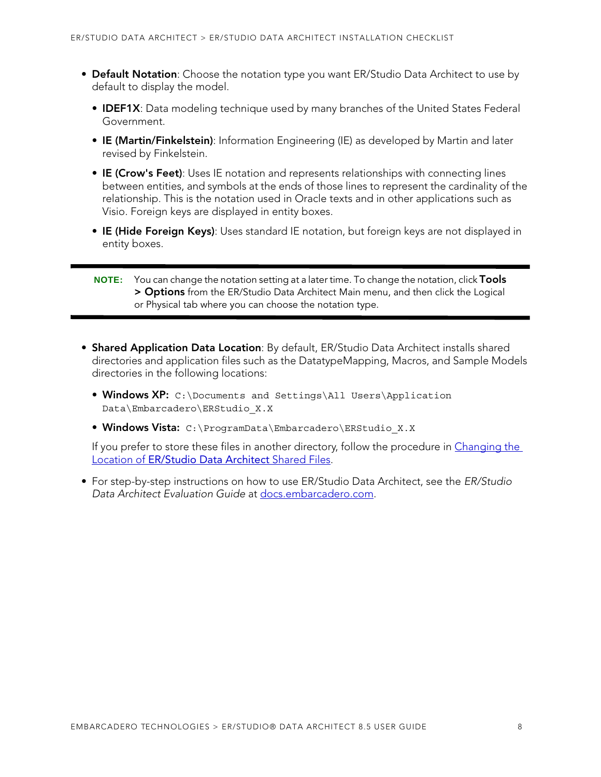- **Default Notation**: Choose the notation type you want ER/Studio Data Architect to use by default to display the model.
	- **IDEF1X**: Data modeling technique used by many branches of the United States Federal Government.
	- **IE (Martin/Finkelstein)**: Information Engineering (IE) as developed by Martin and later revised by Finkelstein.
	- **IE (Crow's Feet)**: Uses IE notation and represents relationships with connecting lines between entities, and symbols at the ends of those lines to represent the cardinality of the relationship. This is the notation used in Oracle texts and in other applications such as Visio. Foreign keys are displayed in entity boxes.
	- **IE (Hide Foreign Keys)**: Uses standard IE notation, but foreign keys are not displayed in entity boxes.

- **Shared Application Data Location**: By default, ER/Studio Data Architect installs shared directories and application files such as the DatatypeMapping, Macros, and Sample Models directories in the following locations:
	- **Windows XP:** C:\Documents and Settings\All Users\Application Data\Embarcadero\ERStudio\_X.X
	- **Windows Vista:** C:\ProgramData\Embarcadero\ERStudio\_X.X

If you prefer to store these files in another directory, follow the procedure in Changing the Location of [ER/Studio Data Architect](#page-8-1) Shared Files.

• For step-by-step instructions on how to use ER/Studio Data Architect, see the ER/Studio Data Architect Evaluation Guide at [docs.embarcadero.com.](http://docs.embarcadero.com)

**NOTE:** You can change the notation setting at a later time. To change the notation, click **Tools > Options** from the ER/Studio Data Architect Main menu, and then click the Logical or Physical tab where you can choose the notation type.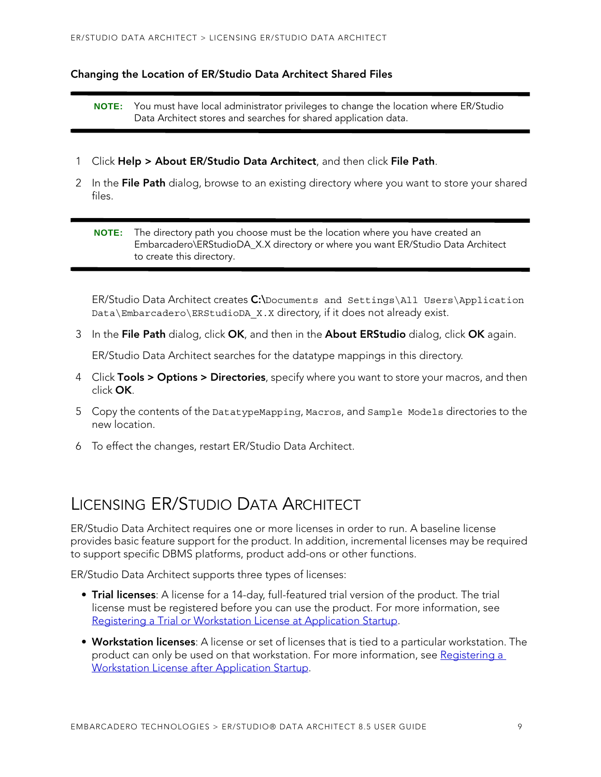#### <span id="page-8-1"></span>**Changing the Location of ER/Studio Data Architect Shared Files**

**NOTE:** You must have local administrator privileges to change the location where ER/Studio Data Architect stores and searches for shared application data.

- 1 Click **Help > About ER/Studio Data Architect**, and then click **File Path**.
- 2 In the **File Path** dialog, browse to an existing directory where you want to store your shared files.

**NOTE:** The directory path you choose must be the location where you have created an Embarcadero\ERStudioDA\_X.X directory or where you want ER/Studio Data Architect to create this directory.

ER/Studio Data Architect creates **C:\**Documents and Settings\All Users\Application Data\Embarcadero\ERStudioDA\_X.X directory, if it does not already exist.

3 In the **File Path** dialog, click **OK**, and then in the **About ERStudio** dialog, click **OK** again.

ER/Studio Data Architect searches for the datatype mappings in this directory.

- 4 Click **Tools > Options > Directories**, specify where you want to store your macros, and then click **OK**.
- 5 Copy the contents of the DatatypeMapping, Macros, and Sample Models directories to the new location.
- 6 To effect the changes, restart ER/Studio Data Architect.

## <span id="page-8-0"></span>LICENSING ER/STUDIO DATA ARCHITECT

ER/Studio Data Architect requires one or more licenses in order to run. A baseline license provides basic feature support for the product. In addition, incremental licenses may be required to support specific DBMS platforms, product add-ons or other functions.

ER/Studio Data Architect supports three types of licenses:

- **Trial licenses**: A license for a 14-day, full-featured trial version of the product. The trial license must be registered before you can use the product. For more information, see [Registering a Trial or Workstation License at Application Startup](#page-9-0).
- **Workstation licenses**: A license or set of licenses that is tied to a particular workstation. The product can only be used on that workstation. For more information, see [Registering a](#page-10-0)  [Workstation License after Application Startup](#page-10-0).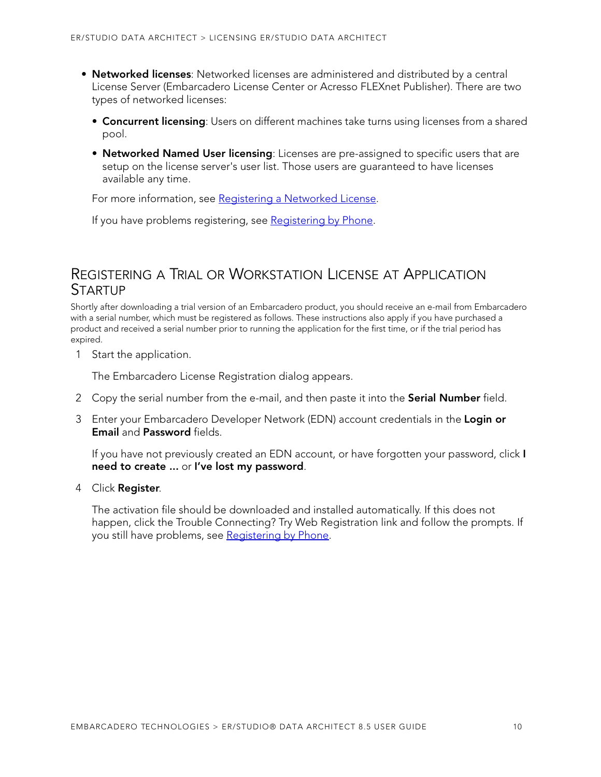- **Networked licenses**: Networked licenses are administered and distributed by a central License Server (Embarcadero License Center or Acresso FLEXnet Publisher). There are two types of networked licenses:
	- **Concurrent licensing**: Users on different machines take turns using licenses from a shared pool.
	- **Networked Named User licensing**: Licenses are pre-assigned to specific users that are setup on the license server's user list. Those users are guaranteed to have licenses available any time.

For more information, see [Registering a Networked License](#page-11-0).

If you have problems registering, see [Registering by Phone](#page-10-1).

### <span id="page-9-0"></span>REGISTERING A TRIAL OR WORKSTATION LICENSE AT APPLICATION STARTUP

Shortly after downloading a trial version of an Embarcadero product, you should receive an e-mail from Embarcadero with a serial number, which must be registered as follows. These instructions also apply if you have purchased a product and received a serial number prior to running the application for the first time, or if the trial period has expired.

1 Start the application.

The Embarcadero License Registration dialog appears.

- 2 Copy the serial number from the e-mail, and then paste it into the **Serial Number** field.
- 3 Enter your Embarcadero Developer Network (EDN) account credentials in the **Login or Email** and **Password** fields.

If you have not previously created an EDN account, or have forgotten your password, click **I need to create ...** or **I've lost my password**.

4 Click **Register**.

The activation file should be downloaded and installed automatically. If this does not happen, click the Trouble Connecting? Try Web Registration link and follow the prompts. If you still have problems, see [Registering by Phone](#page-10-1).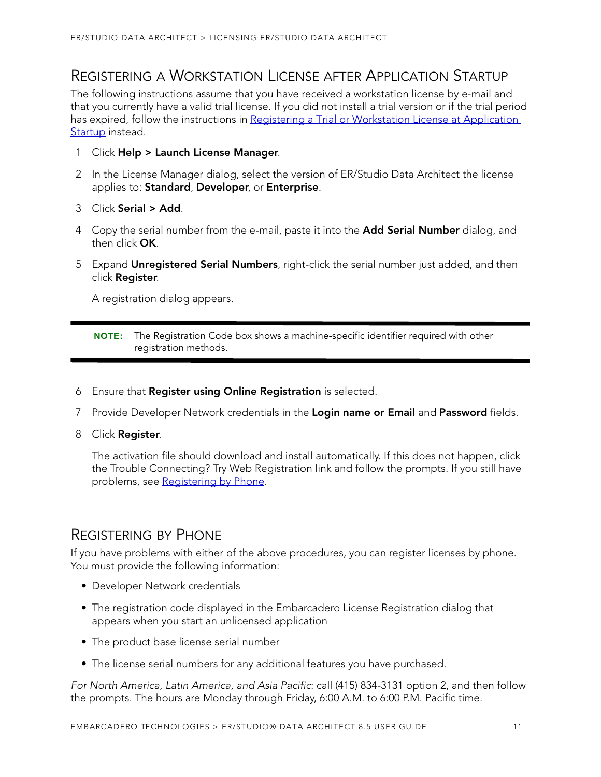### <span id="page-10-0"></span>REGISTERING A WORKSTATION LICENSE AFTER APPLICATION STARTUP

The following instructions assume that you have received a workstation license by e-mail and that you currently have a valid trial license. If you did not install a trial version or if the trial period has expired, follow the instructions in Registering a Trial or Workstation License at Application [Startup](#page-9-0) instead.

- 1 Click **Help > Launch License Manager**.
- 2 In the License Manager dialog, select the version of ER/Studio Data Architect the license applies to: **Standard**, **Developer**, or **Enterprise**.
- 3 Click **Serial > Add**.
- 4 Copy the serial number from the e-mail, paste it into the **Add Serial Number** dialog, and then click **OK**.
- 5 Expand **Unregistered Serial Numbers**, right-click the serial number just added, and then click **Register**.

A registration dialog appears.

- 6 Ensure that **Register using Online Registration** is selected.
- 7 Provide Developer Network credentials in the **Login name or Email** and **Password** fields.
- 8 Click **Register**.

The activation file should download and install automatically. If this does not happen, click the Trouble Connecting? Try Web Registration link and follow the prompts. If you still have problems, see Registering by Phone.

### <span id="page-10-1"></span>REGISTERING BY PHONE

If you have problems with either of the above procedures, you can register licenses by phone. You must provide the following information:

- Developer Network credentials
- The registration code displayed in the Embarcadero License Registration dialog that appears when you start an unlicensed application
- The product base license serial number
- The license serial numbers for any additional features you have purchased.

For North America, Latin America, and Asia Pacific: call (415) 834-3131 option 2, and then follow the prompts. The hours are Monday through Friday, 6:00 A.M. to 6:00 P.M. Pacific time.

**NOTE:** The Registration Code box shows a machine-specific identifier required with other registration methods.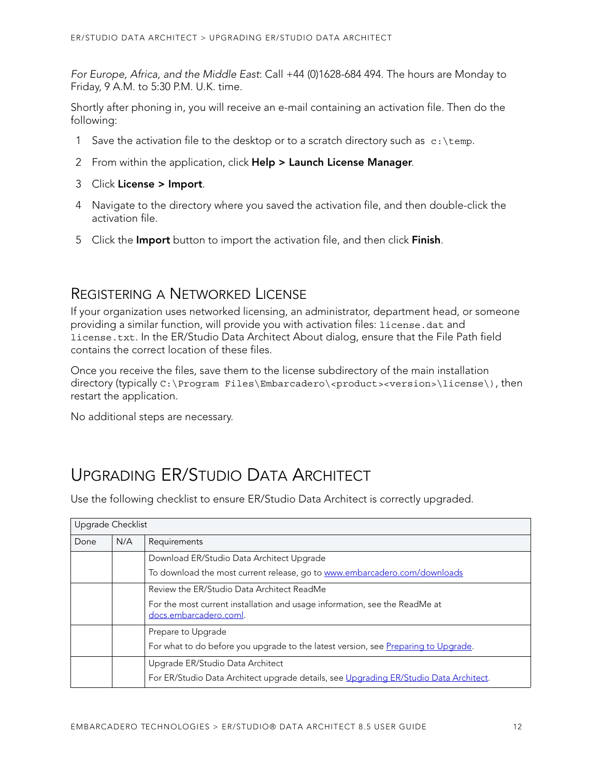For Europe, Africa, and the Middle East: Call +44 (0)1628-684 494. The hours are Monday to Friday, 9 A.M. to 5:30 P.M. U.K. time.

Shortly after phoning in, you will receive an e-mail containing an activation file. Then do the following:

- 1 Save the activation file to the desktop or to a scratch directory such as  $c:\temp$ .
- 2 From within the application, click **Help > Launch License Manager**.
- 3 Click **License > Import**.
- 4 Navigate to the directory where you saved the activation file, and then double-click the activation file.
- 5 Click the **Import** button to import the activation file, and then click **Finish**.

### <span id="page-11-0"></span>REGISTERING A NETWORKED LICENSE

If your organization uses networked licensing, an administrator, department head, or someone providing a similar function, will provide you with activation files: license.dat and license.txt. In the ER/Studio Data Architect About dialog, ensure that the File Path field contains the correct location of these files.

Once you receive the files, save them to the license subdirectory of the main installation directory (typically C:\Program Files\Embarcadero\<product><version>\license\), then restart the application.

No additional steps are necessary.

# <span id="page-11-1"></span>UPGRADING ER/STUDIO DATA ARCHITECT

Use the following checklist to ensure ER/Studio Data Architect is correctly upgraded.

|      | Upgrade Checklist |                                                                                                      |  |  |  |
|------|-------------------|------------------------------------------------------------------------------------------------------|--|--|--|
| Done | N/A               | Requirements                                                                                         |  |  |  |
|      |                   | Download ER/Studio Data Architect Upgrade                                                            |  |  |  |
|      |                   | To download the most current release, go to www.embarcadero.com/downloads                            |  |  |  |
|      |                   | Review the ER/Studio Data Architect ReadMe                                                           |  |  |  |
|      |                   | For the most current installation and usage information, see the ReadMe at<br>docs.embarcadero.coml. |  |  |  |
|      |                   | Prepare to Upgrade                                                                                   |  |  |  |
|      |                   | For what to do before you upgrade to the latest version, see Preparing to Upgrade.                   |  |  |  |
|      |                   | Upgrade ER/Studio Data Architect                                                                     |  |  |  |
|      |                   | For ER/Studio Data Architect upgrade details, see Upgrading ER/Studio Data Architect.                |  |  |  |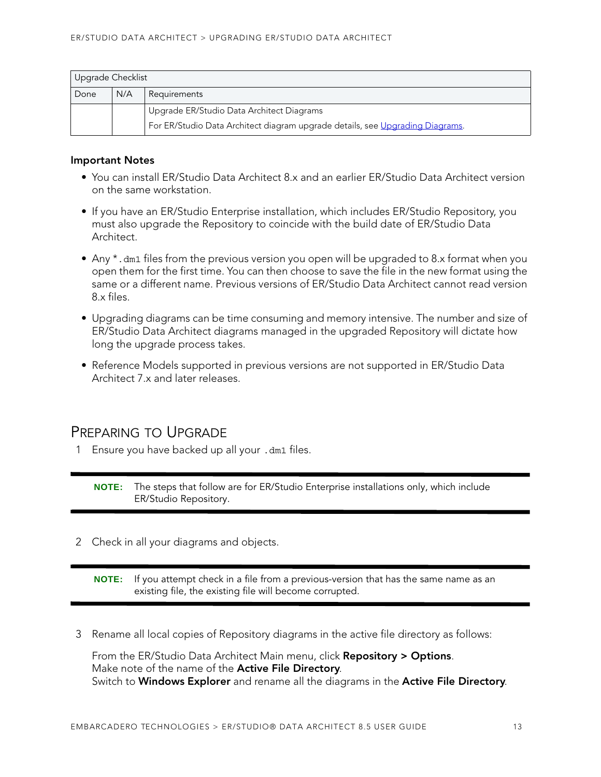| Upgrade Checklist           |                                                                               |                                           |  |  |  |  |
|-----------------------------|-------------------------------------------------------------------------------|-------------------------------------------|--|--|--|--|
| N/A<br>Done<br>Requirements |                                                                               |                                           |  |  |  |  |
|                             |                                                                               | Upgrade ER/Studio Data Architect Diagrams |  |  |  |  |
|                             | For ER/Studio Data Architect diagram upgrade details, see Upgrading Diagrams. |                                           |  |  |  |  |

#### **Important Notes**

- You can install ER/Studio Data Architect 8.x and an earlier ER/Studio Data Architect version on the same workstation.
- If you have an ER/Studio Enterprise installation, which includes ER/Studio Repository, you must also upgrade the Repository to coincide with the build date of ER/Studio Data Architect.
- Any \*.dm1 files from the previous version you open will be upgraded to 8.x format when you open them for the first time. You can then choose to save the file in the new format using the same or a different name. Previous versions of ER/Studio Data Architect cannot read version 8.x files.
- Upgrading diagrams can be time consuming and memory intensive. The number and size of ER/Studio Data Architect diagrams managed in the upgraded Repository will dictate how long the upgrade process takes.
- Reference Models supported in previous versions are not supported in ER/Studio Data Architect 7.x and later releases.

### <span id="page-12-0"></span>PREPARING TO UPGRADE

1 Ensure you have backed up all your .dm1 files.

**NOTE:** The steps that follow are for ER/Studio Enterprise installations only, which include ER/Studio Repository.

2 Check in all your diagrams and objects.

**NOTE:** If you attempt check in a file from a previous-version that has the same name as an existing file, the existing file will become corrupted.

3 Rename all local copies of Repository diagrams in the active file directory as follows:

From the ER/Studio Data Architect Main menu, click **Repository > Options**. Make note of the name of the **Active File Directory**. Switch to **Windows Explorer** and rename all the diagrams in the **Active File Directory**.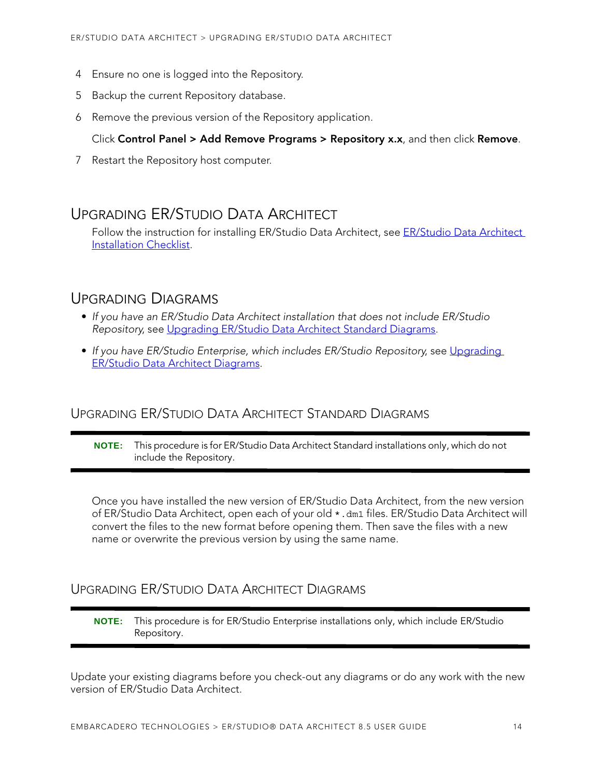- 4 Ensure no one is logged into the Repository.
- 5 Backup the current Repository database.
- 6 Remove the previous version of the Repository application.

#### Click **Control Panel > Add Remove Programs > Repository x.x**, and then click **Remove**.

7 Restart the Repository host computer.

### <span id="page-13-0"></span>UPGRADING ER/STUDIO DATA ARCHITECT

Follow the instruction for installing ER/Studio Data Architect, see ER/Studio Data Architect [Installation Checklist.](#page-5-1)

### <span id="page-13-1"></span>UPGRADING DIAGRAMS

- If you have an ER/Studio Data Architect installation that does not include ER/Studio Repository, see [Upgrading ER/Studio Data Architect Standard Diagrams.](#page-13-2)
- If you have ER/Studio Enterprise, which includes ER/Studio Repository, see Upgrading [ER/Studio Data Architect Diagrams.](#page-13-3)

### <span id="page-13-2"></span>UPGRADING ER/STUDIO DATA ARCHITECT STANDARD DIAGRAMS

**NOTE:** This procedure is for ER/Studio Data Architect Standard installations only, which do not include the Repository.

Once you have installed the new version of ER/Studio Data Architect, from the new version of ER/Studio Data Architect, open each of your old \*.dm1 files. ER/Studio Data Architect will convert the files to the new format before opening them. Then save the files with a new name or overwrite the previous version by using the same name.

### <span id="page-13-3"></span>UPGRADING ER/STUDIO DATA ARCHITECT DIAGRAMS

**NOTE:** This procedure is for ER/Studio Enterprise installations only, which include ER/Studio Repository.

Update your existing diagrams before you check-out any diagrams or do any work with the new version of ER/Studio Data Architect.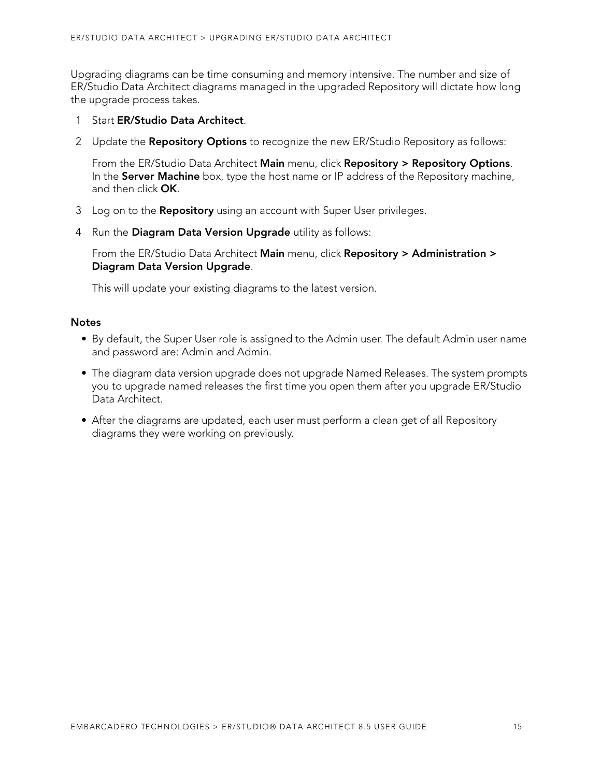Upgrading diagrams can be time consuming and memory intensive. The number and size of ER/Studio Data Architect diagrams managed in the upgraded Repository will dictate how long the upgrade process takes.

- 1 Start **ER/Studio Data Architect**.
- 2 Update the **Repository Options** to recognize the new ER/Studio Repository as follows:

From the ER/Studio Data Architect **Main** menu, click **Repository > Repository Options**. In the **Server Machine** box, type the host name or IP address of the Repository machine, and then click **OK**.

- 3 Log on to the **Repository** using an account with Super User privileges.
- 4 Run the **Diagram Data Version Upgrade** utility as follows:

From the ER/Studio Data Architect **Main** menu, click **Repository > Administration > Diagram Data Version Upgrade**.

This will update your existing diagrams to the latest version.

#### **Notes**

- By default, the Super User role is assigned to the Admin user. The default Admin user name and password are: Admin and Admin.
- The diagram data version upgrade does not upgrade Named Releases. The system prompts you to upgrade named releases the first time you open them after you upgrade ER/Studio Data Architect.
- After the diagrams are updated, each user must perform a clean get of all Repository diagrams they were working on previously.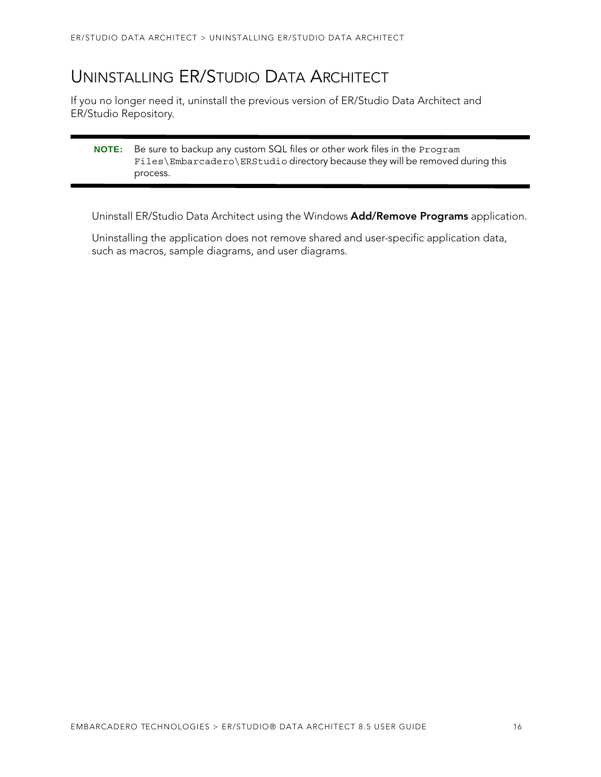# <span id="page-15-0"></span>UNINSTALLING ER/STUDIO DATA ARCHITECT

If you no longer need it, uninstall the previous version of ER/Studio Data Architect and ER/Studio Repository.

#### **NOTE:** Be sure to backup any custom SQL files or other work files in the Program Files\Embarcadero\ERStudio directory because they will be removed during this process.

Uninstall ER/Studio Data Architect using the Windows **Add/Remove Programs** application.

Uninstalling the application does not remove shared and user-specific application data, such as macros, sample diagrams, and user diagrams.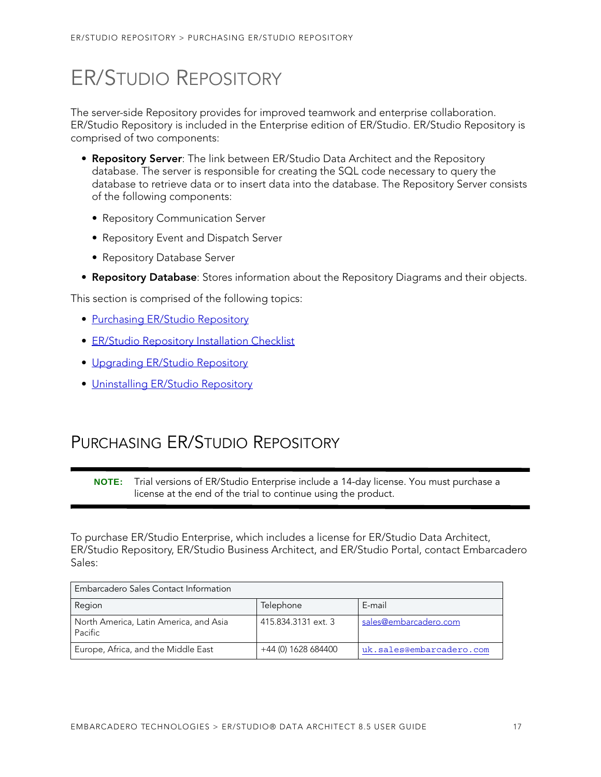# <span id="page-16-0"></span>ER/STUDIO REPOSITORY

The server-side Repository provides for improved teamwork and enterprise collaboration. ER/Studio Repository is included in the Enterprise edition of ER/Studio. ER/Studio Repository is comprised of two components:

- **Repository Server**: The link between ER/Studio Data Architect and the Repository database. The server is responsible for creating the SQL code necessary to query the database to retrieve data or to insert data into the database. The Repository Server consists of the following components:
	- Repository Communication Server
	- Repository Event and Dispatch Server
	- Repository Database Server
- **Repository Database**: Stores information about the Repository Diagrams and their objects.

This section is comprised of the following topics:

- [Purchasing ER/Studio Repository](#page-16-1)
- [ER/Studio Repository Installation Checklist](#page-17-0)
- [Upgrading ER/Studio Repository](#page-24-0)
- [Uninstalling ER/Studio Repository](#page-27-0)

# <span id="page-16-1"></span>PURCHASING ER/STUDIO REPOSITORY

**NOTE:** Trial versions of ER/Studio Enterprise include a 14-day license. You must purchase a license at the end of the trial to continue using the product.

To purchase ER/Studio Enterprise, which includes a license for ER/Studio Data Architect, ER/Studio Repository, ER/Studio Business Architect, and ER/Studio Portal, contact Embarcadero Sales:

| Embarcadero Sales Contact Information             |                     |                          |  |  |  |
|---------------------------------------------------|---------------------|--------------------------|--|--|--|
| Region                                            | Telephone           | E-mail                   |  |  |  |
| North America, Latin America, and Asia<br>Pacific | 415.834.3131 ext. 3 | sales@embarcadero.com    |  |  |  |
| Europe, Africa, and the Middle East               | +44 (0) 1628 684400 | uk.sales@embarcadero.com |  |  |  |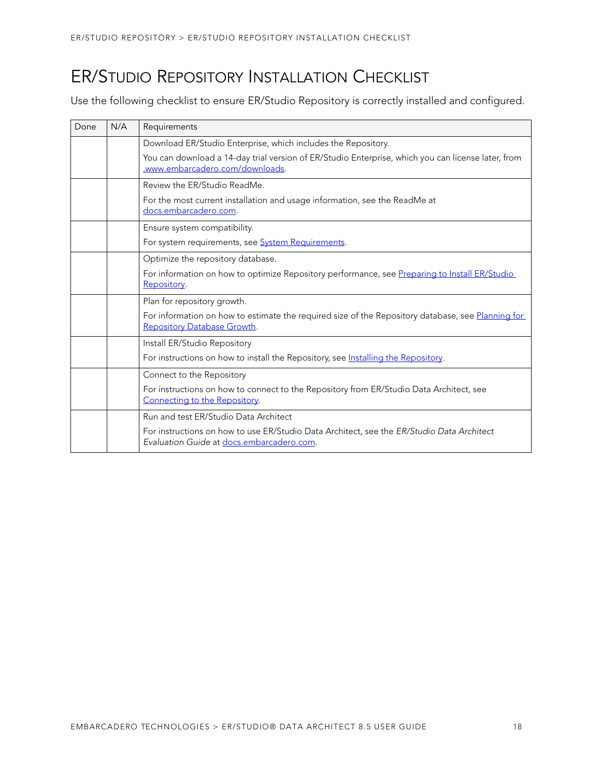# <span id="page-17-0"></span>ER/STUDIO REPOSITORY INSTALLATION CHECKLIST

Use the following checklist to ensure ER/Studio Repository is correctly installed and configured.

| Done | N/A | Requirements                                                                                                                           |  |  |  |
|------|-----|----------------------------------------------------------------------------------------------------------------------------------------|--|--|--|
|      |     | Download ER/Studio Enterprise, which includes the Repository.                                                                          |  |  |  |
|      |     | You can download a 14-day trial version of ER/Studio Enterprise, which you can license later, from<br>.www.embarcadero.com/downloads.  |  |  |  |
|      |     | Review the ER/Studio ReadMe.                                                                                                           |  |  |  |
|      |     | For the most current installation and usage information, see the ReadMe at<br>docs.embarcadero.com.                                    |  |  |  |
|      |     | Ensure system compatibility.                                                                                                           |  |  |  |
|      |     | For system requirements, see System Requirements.                                                                                      |  |  |  |
|      |     | Optimize the repository database.                                                                                                      |  |  |  |
|      |     | For information on how to optimize Repository performance, see Preparing to Install ER/Studio<br>Repository.                           |  |  |  |
|      |     | Plan for repository growth.                                                                                                            |  |  |  |
|      |     | For information on how to estimate the required size of the Repository database, see Planning for<br>Repository Database Growth.       |  |  |  |
|      |     | Install ER/Studio Repository                                                                                                           |  |  |  |
|      |     | For instructions on how to install the Repository, see Installing the Repository.                                                      |  |  |  |
|      |     | Connect to the Repository                                                                                                              |  |  |  |
|      |     | For instructions on how to connect to the Repository from ER/Studio Data Architect, see<br>Connecting to the Repository.               |  |  |  |
|      |     | Run and test ER/Studio Data Architect                                                                                                  |  |  |  |
|      |     | For instructions on how to use ER/Studio Data Architect, see the ER/Studio Data Architect<br>Evaluation Guide at docs.embarcadero.com. |  |  |  |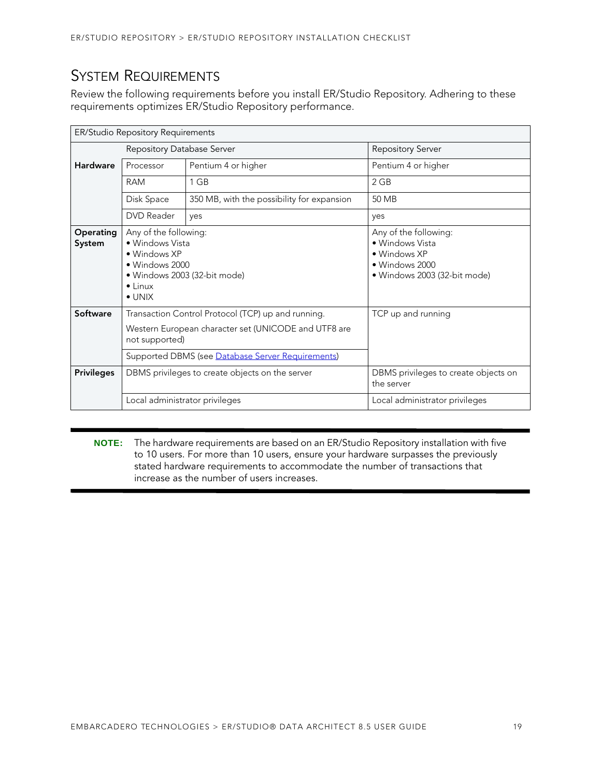## <span id="page-18-0"></span>SYSTEM REQUIREMENTS

Review the following requirements before you install ER/Studio Repository. Adhering to these requirements optimizes ER/Studio Repository performance.

| ER/Studio Repository Requirements |                                                                                                                                                 |                                                                                                                                                                 |                                                                                                            |  |  |
|-----------------------------------|-------------------------------------------------------------------------------------------------------------------------------------------------|-----------------------------------------------------------------------------------------------------------------------------------------------------------------|------------------------------------------------------------------------------------------------------------|--|--|
|                                   | Repository Database Server                                                                                                                      |                                                                                                                                                                 | <b>Repository Server</b>                                                                                   |  |  |
| <b>Hardware</b>                   | Processor                                                                                                                                       | Pentium 4 or higher                                                                                                                                             | Pentium 4 or higher                                                                                        |  |  |
|                                   | <b>RAM</b>                                                                                                                                      | 1 GB                                                                                                                                                            | 2 GB                                                                                                       |  |  |
|                                   | Disk Space                                                                                                                                      | 350 MB, with the possibility for expansion                                                                                                                      | 50 MB                                                                                                      |  |  |
|                                   | DVD Reader                                                                                                                                      | yes                                                                                                                                                             | yes                                                                                                        |  |  |
| Operating<br>System               | Any of the following:<br>• Windows Vista<br>• Windows XP<br>• Windows 2000<br>· Windows 2003 (32-bit mode)<br>$\bullet$ Linux<br>$\bullet$ UNIX |                                                                                                                                                                 | Any of the following:<br>• Windows Vista<br>• Windows XP<br>• Windows 2000<br>· Windows 2003 (32-bit mode) |  |  |
| Software                          | not supported)                                                                                                                                  | Transaction Control Protocol (TCP) up and running.<br>Western European character set (UNICODE and UTF8 are<br>Supported DBMS (see Database Server Requirements) | TCP up and running                                                                                         |  |  |
| <b>Privileges</b>                 |                                                                                                                                                 | DBMS privileges to create objects on the server                                                                                                                 | DBMS privileges to create objects on<br>the server                                                         |  |  |
|                                   | Local administrator privileges                                                                                                                  |                                                                                                                                                                 | Local administrator privileges                                                                             |  |  |

**NOTE:** The hardware requirements are based on an ER/Studio Repository installation with five to 10 users. For more than 10 users, ensure your hardware surpasses the previously stated hardware requirements to accommodate the number of transactions that increase as the number of users increases.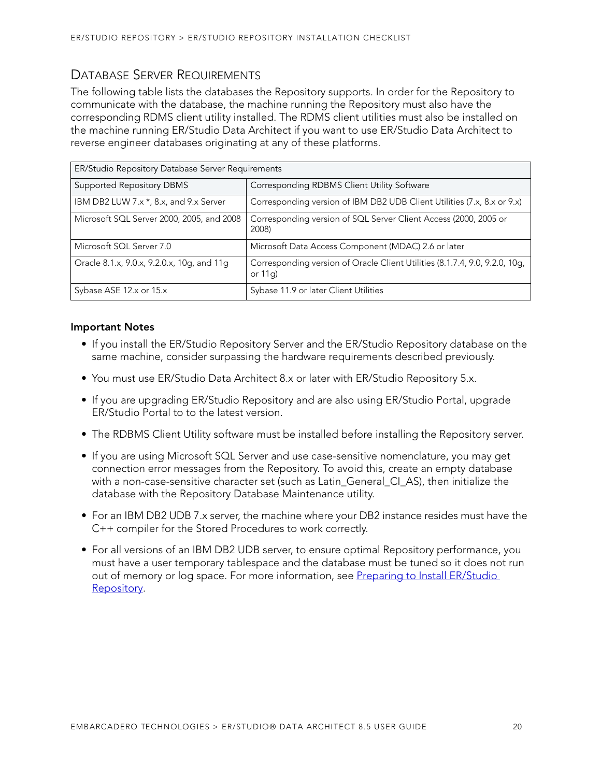### <span id="page-19-0"></span>DATABASE SERVER REQUIREMENTS

The following table lists the databases the Repository supports. In order for the Repository to communicate with the database, the machine running the Repository must also have the corresponding RDMS client utility installed. The RDMS client utilities must also be installed on the machine running ER/Studio Data Architect if you want to use ER/Studio Data Architect to reverse engineer databases originating at any of these platforms.

| ER/Studio Repository Database Server Requirements                               |                                                                                         |  |  |  |
|---------------------------------------------------------------------------------|-----------------------------------------------------------------------------------------|--|--|--|
| <b>Supported Repository DBMS</b><br>Corresponding RDBMS Client Utility Software |                                                                                         |  |  |  |
| IBM DB2 LUW 7.x *, 8.x, and 9.x Server                                          | Corresponding version of IBM DB2 UDB Client Utilities (7.x, 8.x or 9.x)                 |  |  |  |
| Microsoft SQL Server 2000, 2005, and 2008                                       | Corresponding version of SQL Server Client Access (2000, 2005 or<br>2008)               |  |  |  |
| Microsoft SQL Server 7.0                                                        | Microsoft Data Access Component (MDAC) 2.6 or later                                     |  |  |  |
| Oracle 8.1.x, 9.0.x, 9.2.0.x, 10g, and 11g                                      | Corresponding version of Oracle Client Utilities (8.1.7.4, 9.0, 9.2.0, 10g,<br>or $11q$ |  |  |  |
| Sybase ASE 12.x or 15.x                                                         | Sybase 11.9 or later Client Utilities                                                   |  |  |  |

#### **Important Notes**

- If you install the ER/Studio Repository Server and the ER/Studio Repository database on the same machine, consider surpassing the hardware requirements described previously.
- You must use ER/Studio Data Architect 8.x or later with ER/Studio Repository 5.x.
- If you are upgrading ER/Studio Repository and are also using ER/Studio Portal, upgrade ER/Studio Portal to to the latest version.
- The RDBMS Client Utility software must be installed before installing the Repository server.
- If you are using Microsoft SQL Server and use case-sensitive nomenclature, you may get connection error messages from the Repository. To avoid this, create an empty database with a non-case-sensitive character set (such as Latin General CI AS), then initialize the database with the Repository Database Maintenance utility.
- For an IBM DB2 UDB 7.x server, the machine where your DB2 instance resides must have the C++ compiler for the Stored Procedures to work correctly.
- For all versions of an IBM DB2 UDB server, to ensure optimal Repository performance, you must have a user temporary tablespace and the database must be tuned so it does not run out of memory or log space. For more information, see Preparing to Install ER/Studio [Repository.](#page-20-1)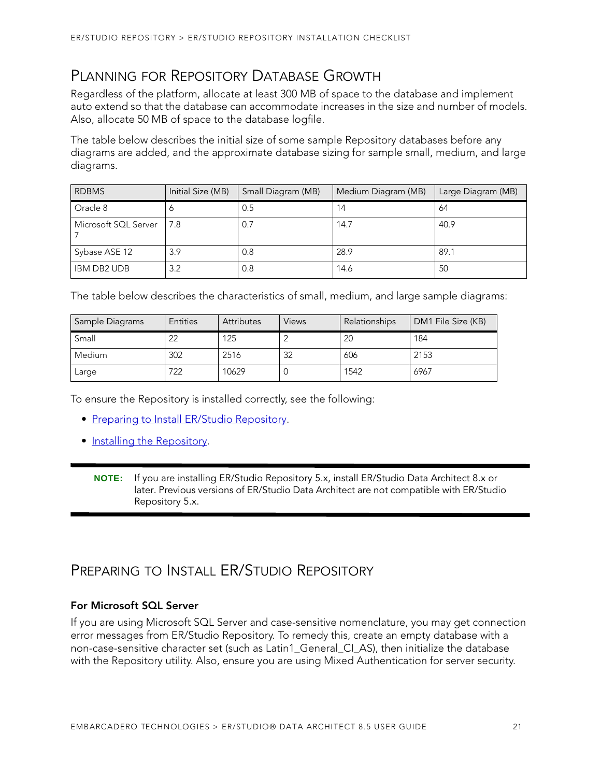## <span id="page-20-0"></span>PLANNING FOR REPOSITORY DATABASE GROWTH

Regardless of the platform, allocate at least 300 MB of space to the database and implement auto extend so that the database can accommodate increases in the size and number of models. Also, allocate 50 MB of space to the database logfile.

The table below describes the initial size of some sample Repository databases before any diagrams are added, and the approximate database sizing for sample small, medium, and large diagrams.

| <b>RDBMS</b>         | Initial Size (MB) | Small Diagram (MB) | Medium Diagram (MB) | Large Diagram (MB) |
|----------------------|-------------------|--------------------|---------------------|--------------------|
| Oracle 8             |                   | 0.5                | 14                  | 64                 |
| Microsoft SQL Server | 7.8               | 0.7                | 14.7                | 40.9               |
| Sybase ASE 12        | 3.9               | 0.8                | 28.9                | 89.1               |
| <b>IBM DB2 UDB</b>   | 3.2               | 0.8                | 14.6                | 50                 |

The table below describes the characteristics of small, medium, and large sample diagrams:

| Sample Diagrams | <b>Entities</b> | <b>Attributes</b> | <b>Views</b> | Relationships | DM1 File Size (KB) |
|-----------------|-----------------|-------------------|--------------|---------------|--------------------|
| Small           | 22              | 125               |              | 20            | 184                |
| <b>Medium</b>   | 302             | 2516              | 32           | 606           | 2153               |
| Large           | 722             | 10629             |              | 1542          | 6967               |

To ensure the Repository is installed correctly, see the following:

- [Preparing to Install ER/Studio Repository](#page-20-1).
- [Installing the Repository](#page-22-0).
	- **NOTE:** If you are installing ER/Studio Repository 5.x, install ER/Studio Data Architect 8.x or later. Previous versions of ER/Studio Data Architect are not compatible with ER/Studio Repository 5.x.

## <span id="page-20-1"></span>PREPARING TO INSTALL ER/STUDIO REPOSITORY

#### **For Microsoft SQL Server**

If you are using Microsoft SQL Server and case-sensitive nomenclature, you may get connection error messages from ER/Studio Repository. To remedy this, create an empty database with a non-case-sensitive character set (such as Latin1 General CI AS), then initialize the database with the Repository utility. Also, ensure you are using Mixed Authentication for server security.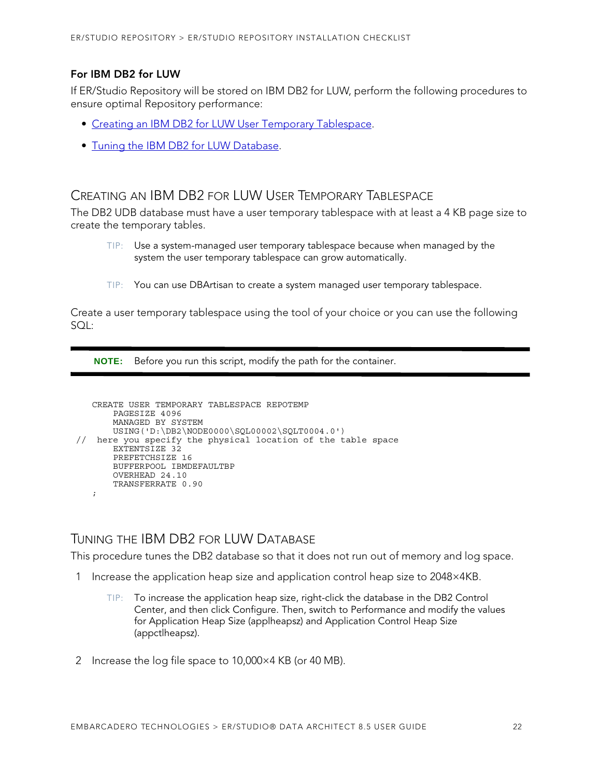#### **For IBM DB2 for LUW**

If ER/Studio Repository will be stored on IBM DB2 for LUW, perform the following procedures to ensure optimal Repository performance:

- [Creating an IBM DB2 for LUW User Temporary Tablespace.](#page-21-0)
- [Tuning the IBM DB2 for LUW Database](#page-21-1).

#### <span id="page-21-0"></span>CREATING AN IBM DB2 FOR LUW USER TEMPORARY TABLESPACE

The DB2 UDB database must have a user temporary tablespace with at least a 4 KB page size to create the temporary tables.

- TIP: Use a system-managed user temporary tablespace because when managed by the system the user temporary tablespace can grow automatically.
- TIP: You can use DBArtisan to create a system managed user temporary tablespace.

Create a user temporary tablespace using the tool of your choice or you can use the following SQL:

**NOTE:** Before you run this script, modify the path for the container.

```
CREATE USER TEMPORARY TABLESPACE REPOTEMP
       PAGESIZE 4096
       MANAGED BY SYSTEM
       USING('D:\DB2\NODE0000\SQL00002\SQLT0004.0') 
// here you specify the physical location of the table space 
       EXTENTSIZE 32
       PREFETCHSIZE 16
       BUFFERPOOL IBMDEFAULTBP
       OVERHEAD 24.10
       TRANSFERRATE 0.90
  ;
```
#### <span id="page-21-1"></span>TUNING THE IBM DB2 FOR LUW DATABASE

This procedure tunes the DB2 database so that it does not run out of memory and log space.

- 1 Increase the application heap size and application control heap size to 2048×4KB.
	- TIP: To increase the application heap size, right-click the database in the DB2 Control Center, and then click Configure. Then, switch to Performance and modify the values for Application Heap Size (applheapsz) and Application Control Heap Size (appctlheapsz).
- 2 Increase the log file space to 10,000×4 KB (or 40 MB).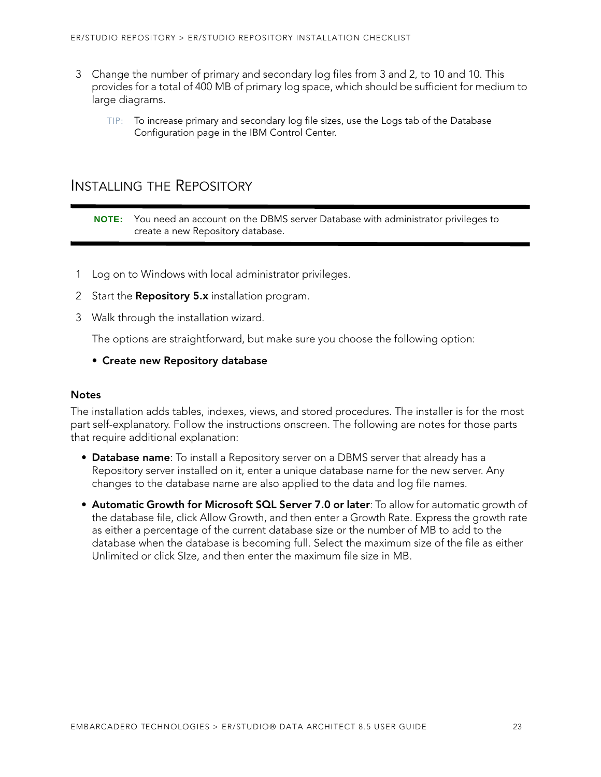- 3 Change the number of primary and secondary log files from 3 and 2, to 10 and 10. This provides for a total of 400 MB of primary log space, which should be sufficient for medium to large diagrams.
	- TIP: To increase primary and secondary log file sizes, use the Logs tab of the Database Configuration page in the IBM Control Center.

### <span id="page-22-0"></span>INSTALLING THE REPOSITORY

**NOTE:** You need an account on the DBMS server Database with administrator privileges to create a new Repository database.

- 1 Log on to Windows with local administrator privileges.
- 2 Start the **Repository 5.x** installation program.
- 3 Walk through the installation wizard.

The options are straightforward, but make sure you choose the following option:

#### **• Create new Repository database**

#### **Notes**

The installation adds tables, indexes, views, and stored procedures. The installer is for the most part self-explanatory. Follow the instructions onscreen. The following are notes for those parts that require additional explanation:

- **Database name**: To install a Repository server on a DBMS server that already has a Repository server installed on it, enter a unique database name for the new server. Any changes to the database name are also applied to the data and log file names.
- <span id="page-22-1"></span>• **[Automatic Growth for Microsoft SQL Server 7.0 or later](#page-22-1)**: To allow for automatic growth of the database file, click Allow Growth, and then enter a Growth Rate. Express the growth rate as either a percentage of the current database size or the number of MB to add to the database when the database is becoming full. Select the maximum size of the file as either Unlimited or click SIze, and then enter the maximum file size in MB.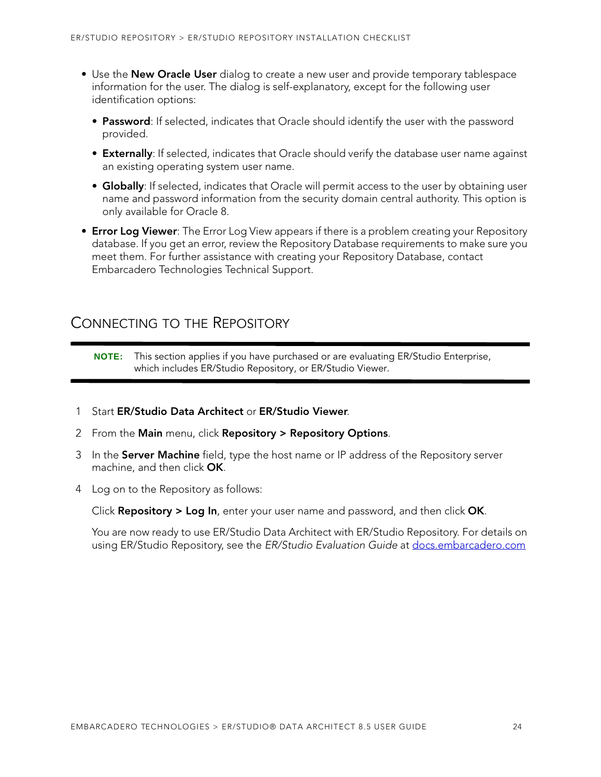- Use the **New Oracle User** dialog to create a new user and provide temporary tablespace information for the user. The dialog is self-explanatory, except for the following user identification options:
	- **Password**: If selected, indicates that Oracle should identify the user with the password provided.
	- **Externally**: If selected, indicates that Oracle should verify the database user name against an existing operating system user name.
	- **Globally**: If selected, indicates that Oracle will permit access to the user by obtaining user name and password information from the security domain central authority. This option is only available for Oracle 8.
- **Error Log Viewer**: The Error Log View appears if there is a problem creating your Repository database. If you get an error, review the Repository Database requirements to make sure you meet them. For further assistance with creating your Repository Database, contact Embarcadero Technologies Technical Support.

### <span id="page-23-0"></span>CONNECTING TO THE REPOSITORY

**NOTE:** This section applies if you have purchased or are evaluating ER/Studio Enterprise, which includes ER/Studio Repository, or ER/Studio Viewer.

- 1 Start **ER/Studio Data Architect** or **ER/Studio Viewer**.
- 2 From the **Main** menu, click **Repository > Repository Options**.
- 3 In the **Server Machine** field, type the host name or IP address of the Repository server machine, and then click **OK**.
- 4 Log on to the Repository as follows:

Click **Repository > Log In**, enter your user name and password, and then click **OK**.

You are now ready to use ER/Studio Data Architect with ER/Studio Repository. For details on using ER/Studio Repository, see the ER/Studio Evaluation Guide at [docs.embarcadero.com](http://docs.embarcadero.com)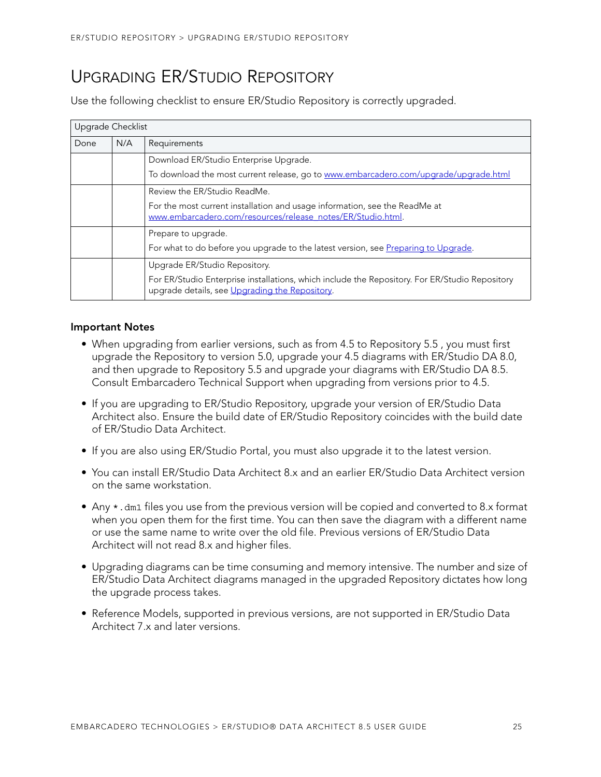# <span id="page-24-0"></span>UPGRADING ER/STUDIO REPOSITORY

Use the following checklist to ensure ER/Studio Repository is correctly upgraded.

| Upgrade Checklist |     |                                                                                                                                                  |
|-------------------|-----|--------------------------------------------------------------------------------------------------------------------------------------------------|
| Done              | N/A | Requirements                                                                                                                                     |
|                   |     | Download ER/Studio Enterprise Upgrade.                                                                                                           |
|                   |     | To download the most current release, go to www.embarcadero.com/upgrade/upgrade.html                                                             |
|                   |     | Review the ER/Studio ReadMe.                                                                                                                     |
|                   |     | For the most current installation and usage information, see the ReadMe at<br>www.embarcadero.com/resources/release_notes/ER/Studio.html.        |
|                   |     | Prepare to upgrade.                                                                                                                              |
|                   |     | For what to do before you upgrade to the latest version, see Preparing to Upgrade.                                                               |
|                   |     | Upgrade ER/Studio Repository.                                                                                                                    |
|                   |     | For ER/Studio Enterprise installations, which include the Repository. For ER/Studio Repository<br>upgrade details, see Upgrading the Repository. |

#### **Important Notes**

- When upgrading from earlier versions, such as from 4.5 to Repository 5.5 , you must first upgrade the Repository to version 5.0, upgrade your 4.5 diagrams with ER/Studio DA 8.0, and then upgrade to Repository 5.5 and upgrade your diagrams with ER/Studio DA 8.5. Consult Embarcadero Technical Support when upgrading from versions prior to 4.5.
- If you are upgrading to ER/Studio Repository, upgrade your version of ER/Studio Data Architect also. Ensure the build date of ER/Studio Repository coincides with the build date of ER/Studio Data Architect.
- If you are also using ER/Studio Portal, you must also upgrade it to the latest version.
- You can install ER/Studio Data Architect 8.x and an earlier ER/Studio Data Architect version on the same workstation.
- Any \*.dm1 files you use from the previous version will be copied and converted to 8.x format when you open them for the first time. You can then save the diagram with a different name or use the same name to write over the old file. Previous versions of ER/Studio Data Architect will not read 8.x and higher files.
- Upgrading diagrams can be time consuming and memory intensive. The number and size of ER/Studio Data Architect diagrams managed in the upgraded Repository dictates how long the upgrade process takes.
- Reference Models, supported in previous versions, are not supported in ER/Studio Data Architect 7.x and later versions.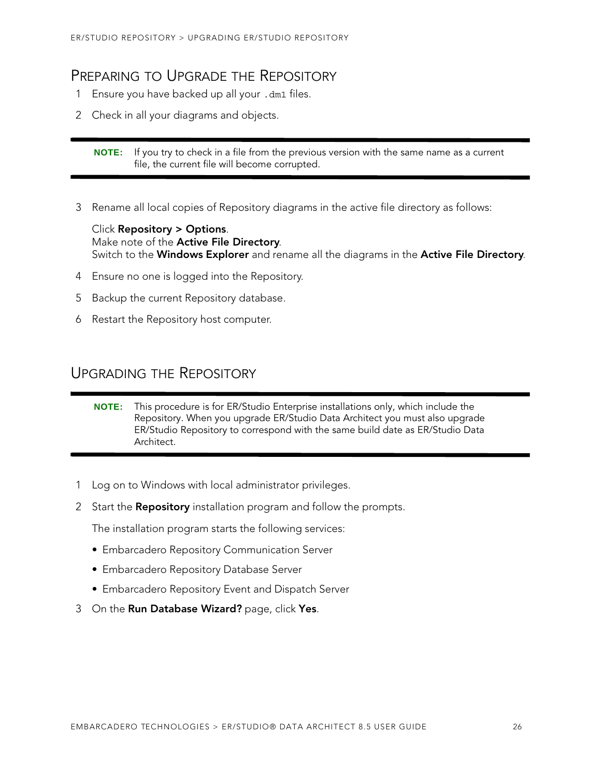### <span id="page-25-0"></span>PREPARING TO UPGRADE THE REPOSITORY

- 1 Ensure you have backed up all your .dm1 files.
- 2 Check in all your diagrams and objects.

**NOTE:** If you try to check in a file from the previous version with the same name as a current file, the current file will become corrupted.

3 Rename all local copies of Repository diagrams in the active file directory as follows:

Click **Repository > Options**. Make note of the **Active File Directory**. Switch to the **Windows Explorer** and rename all the diagrams in the **Active File Directory**.

- 4 Ensure no one is logged into the Repository.
- 5 Backup the current Repository database.
- 6 Restart the Repository host computer.

### <span id="page-25-1"></span>UPGRADING THE REPOSITORY

- 1 Log on to Windows with local administrator privileges.
- 2 Start the **Repository** installation program and follow the prompts.

The installation program starts the following services:

- Embarcadero Repository Communication Server
- Embarcadero Repository Database Server
- Embarcadero Repository Event and Dispatch Server
- 3 On the **Run Database Wizard?** page, click **Yes**.

**NOTE:** This procedure is for ER/Studio Enterprise installations only, which include the Repository. When you upgrade ER/Studio Data Architect you must also upgrade ER/Studio Repository to correspond with the same build date as ER/Studio Data Architect.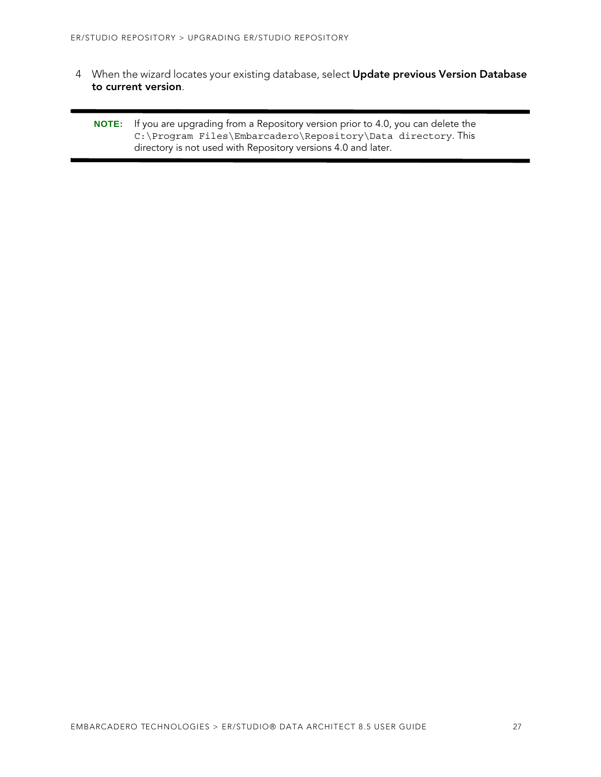- 4 When the wizard locates your existing database, select **Update previous Version Database to current version**.
	- **NOTE:** If you are upgrading from a Repository version prior to 4.0, you can delete the C:\Program Files\Embarcadero\Repository\Data directory. This directory is not used with Repository versions 4.0 and later.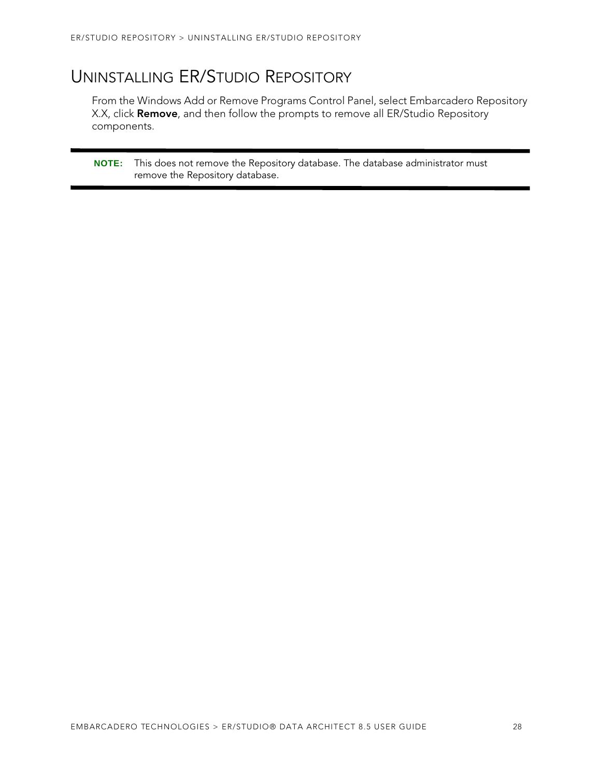# <span id="page-27-0"></span>UNINSTALLING ER/STUDIO REPOSITORY

From the Windows Add or Remove Programs Control Panel, select Embarcadero Repository X.X, click **Remove**, and then follow the prompts to remove all ER/Studio Repository components.

**NOTE:** This does not remove the Repository database. The database administrator must remove the Repository database.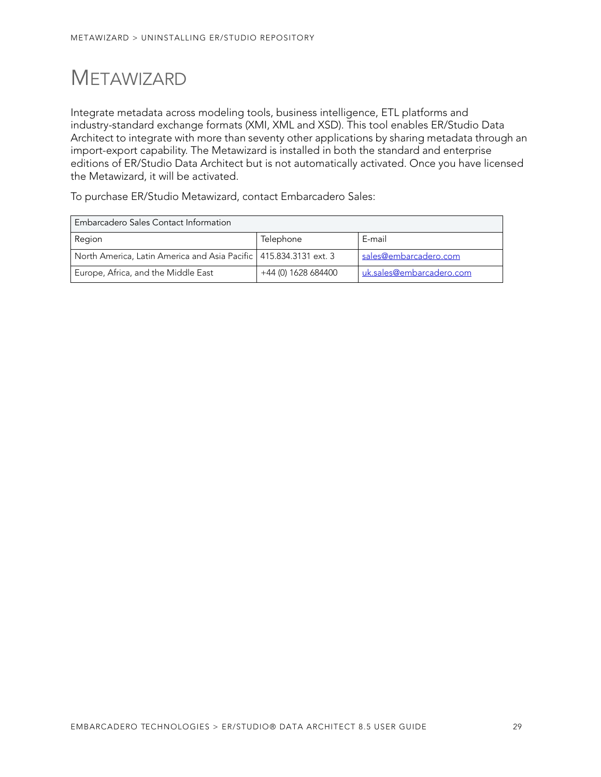# <span id="page-28-0"></span>**METAWIZARD**

Integrate metadata across modeling tools, business intelligence, ETL platforms and industry-standard exchange formats (XMI, XML and XSD). This tool enables ER/Studio Data Architect to integrate with more than seventy other applications by sharing metadata through an import-export capability. The Metawizard is installed in both the standard and enterprise editions of ER/Studio Data Architect but is not automatically activated. Once you have licensed the Metawizard, it will be activated.

To purchase ER/Studio Metawizard, contact Embarcadero Sales:

| Embarcadero Sales Contact Information                               |                     |                          |
|---------------------------------------------------------------------|---------------------|--------------------------|
| Region                                                              | Telephone           | E-mail                   |
| North America, Latin America and Asia Pacific   415.834.3131 ext. 3 |                     | sales@embarcadero.com    |
| Europe, Africa, and the Middle East                                 | +44 (0) 1628 684400 | uk.sales@embarcadero.com |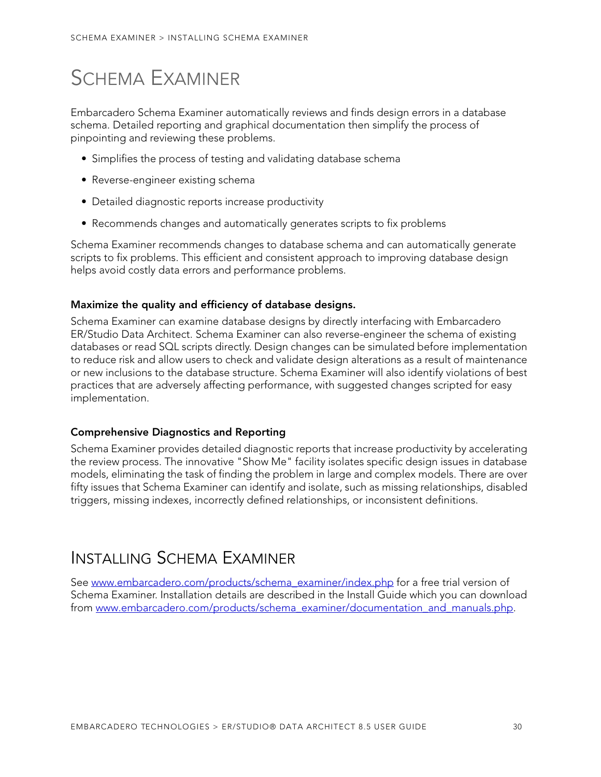# <span id="page-29-0"></span>SCHEMA EXAMINER

Embarcadero Schema Examiner automatically reviews and finds design errors in a database schema. Detailed reporting and graphical documentation then simplify the process of pinpointing and reviewing these problems.

- Simplifies the process of testing and validating database schema
- Reverse-engineer existing schema
- Detailed diagnostic reports increase productivity
- Recommends changes and automatically generates scripts to fix problems

Schema Examiner recommends changes to database schema and can automatically generate scripts to fix problems. This efficient and consistent approach to improving database design helps avoid costly data errors and performance problems.

#### **Maximize the quality and efficiency of database designs.**

Schema Examiner can examine database designs by directly interfacing with Embarcadero ER/Studio Data Architect. Schema Examiner can also reverse-engineer the schema of existing databases or read SQL scripts directly. Design changes can be simulated before implementation to reduce risk and allow users to check and validate design alterations as a result of maintenance or new inclusions to the database structure. Schema Examiner will also identify violations of best practices that are adversely affecting performance, with suggested changes scripted for easy implementation.

#### **Comprehensive Diagnostics and Reporting**

Schema Examiner provides detailed diagnostic reports that increase productivity by accelerating the review process. The innovative "Show Me" facility isolates specific design issues in database models, eliminating the task of finding the problem in large and complex models. There are over fifty issues that Schema Examiner can identify and isolate, such as missing relationships, disabled triggers, missing indexes, incorrectly defined relationships, or inconsistent definitions.

## <span id="page-29-1"></span>INSTALLING SCHEMA EXAMINER

See www.embarcadero.com/products/schema\_examiner/index.php for a free trial version of Schema Examiner. Installation details are described in the Install Guide which you can download from www.embarcadero.com/products/schema\_examiner/documentation\_and\_manuals.php.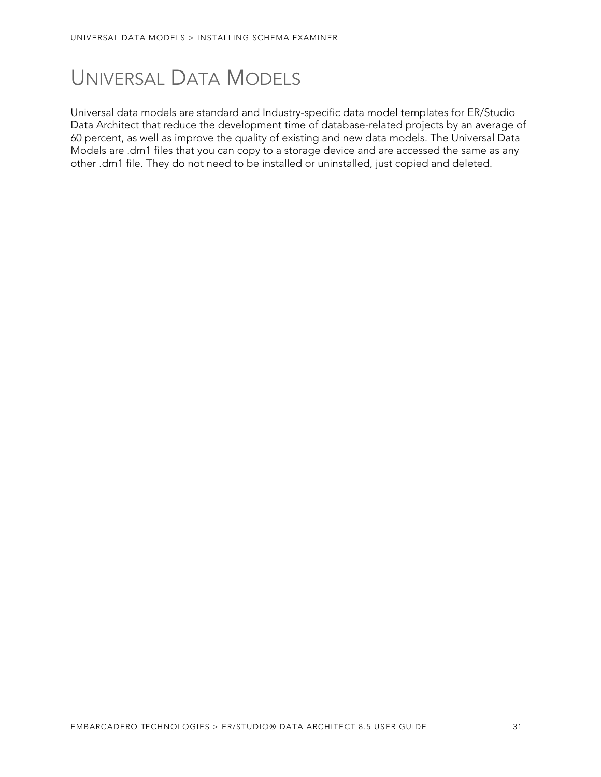# <span id="page-30-0"></span>UNIVERSAL DATA MODELS

Universal data models are standard and Industry-specific data model templates for ER/Studio Data Architect that reduce the development time of database-related projects by an average of 60 percent, as well as improve the quality of existing and new data models. The Universal Data Models are .dm1 files that you can copy to a storage device and are accessed the same as any other .dm1 file. They do not need to be installed or uninstalled, just copied and deleted.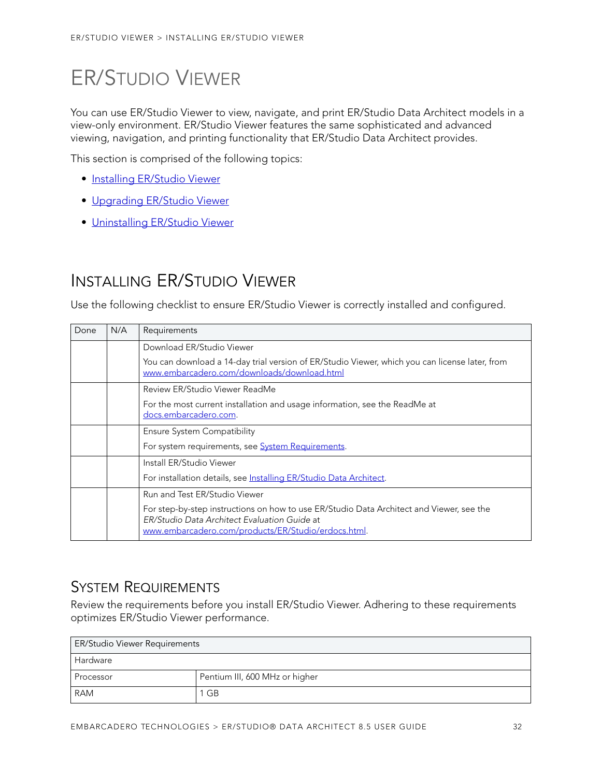# <span id="page-31-0"></span>ER/STUDIO VIEWER

You can use ER/Studio Viewer to view, navigate, and print ER/Studio Data Architect models in a view-only environment. ER/Studio Viewer features the same sophisticated and advanced viewing, navigation, and printing functionality that ER/Studio Data Architect provides.

This section is comprised of the following topics:

- [Installing ER/Studio Viewer](#page-31-1)
- [Upgrading ER/Studio Viewer](#page-33-0)
- [Uninstalling ER/Studio Viewer](#page-33-2)

# <span id="page-31-1"></span>INSTALLING ER/STUDIO VIEWER

Use the following checklist to ensure ER/Studio Viewer is correctly installed and configured.

| Done | N/A | Requirements                                                                                                                                                                                    |
|------|-----|-------------------------------------------------------------------------------------------------------------------------------------------------------------------------------------------------|
|      |     | Download ER/Studio Viewer                                                                                                                                                                       |
|      |     | You can download a 14-day trial version of ER/Studio Viewer, which you can license later, from<br>www.embarcadero.com/downloads/download.html                                                   |
|      |     | Review ER/Studio Viewer ReadMe                                                                                                                                                                  |
|      |     | For the most current installation and usage information, see the ReadMe at<br>docs.embarcadero.com.                                                                                             |
|      |     | <b>Ensure System Compatibility</b>                                                                                                                                                              |
|      |     | For system requirements, see System Requirements.                                                                                                                                               |
|      |     | Install ER/Studio Viewer                                                                                                                                                                        |
|      |     | For installation details, see Installing ER/Studio Data Architect.                                                                                                                              |
|      |     | Run and Test ER/Studio Viewer                                                                                                                                                                   |
|      |     | For step-by-step instructions on how to use ER/Studio Data Architect and Viewer, see the<br>ER/Studio Data Architect Evaluation Guide at<br>www.embarcadero.com/products/ER/Studio/erdocs.html. |

### <span id="page-31-2"></span>SYSTEM REQUIREMENTS

Review the requirements before you install ER/Studio Viewer. Adhering to these requirements optimizes ER/Studio Viewer performance.

| <b>ER/Studio Viewer Requirements</b> |                                |  |
|--------------------------------------|--------------------------------|--|
| <b>Hardware</b>                      |                                |  |
| Processor                            | Pentium III, 600 MHz or higher |  |
| <b>RAM</b>                           | - GB                           |  |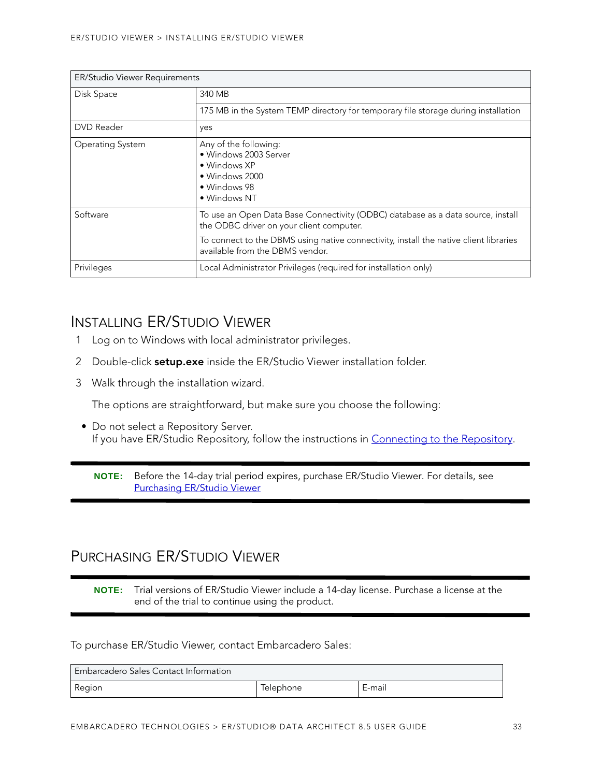| <b>ER/Studio Viewer Requirements</b> |                                                                                                                                                                                                                                                         |  |
|--------------------------------------|---------------------------------------------------------------------------------------------------------------------------------------------------------------------------------------------------------------------------------------------------------|--|
| Disk Space                           | 340 MB                                                                                                                                                                                                                                                  |  |
|                                      | 175 MB in the System TEMP directory for temporary file storage during installation                                                                                                                                                                      |  |
| <b>DVD</b> Reader                    | yes                                                                                                                                                                                                                                                     |  |
| <b>Operating System</b>              | Any of the following:<br>· Windows 2003 Server<br>$\bullet$ Windows XP<br>• Windows 2000<br>• Windows 98<br>• Windows NT                                                                                                                                |  |
| Software                             | To use an Open Data Base Connectivity (ODBC) database as a data source, install<br>the ODBC driver on your client computer.<br>To connect to the DBMS using native connectivity, install the native client libraries<br>available from the DBMS vendor. |  |
| Privileges                           | Local Administrator Privileges (required for installation only)                                                                                                                                                                                         |  |

### <span id="page-32-0"></span>INSTALLING ER/STUDIO VIEWER

- 1 Log on to Windows with local administrator privileges.
- 2 Double-click **setup.exe** inside the ER/Studio Viewer installation folder.
- 3 Walk through the installation wizard.

The options are straightforward, but make sure you choose the following:

• Do not select a Repository Server. If you have ER/Studio Repository, follow the instructions in [Connecting to the Repository](#page-23-0).

**NOTE:** Before the 14-day trial period expires, purchase ER/Studio Viewer. For details, see [Purchasing ER/Studio Viewer](#page-32-1)

### <span id="page-32-1"></span>PURCHASING ER/STUDIO VIEWER

**NOTE:** Trial versions of ER/Studio Viewer include a 14-day license. Purchase a license at the end of the trial to continue using the product.

#### To purchase ER/Studio Viewer, contact Embarcadero Sales:

| Embarcadero Sales Contact Information |                  |        |
|---------------------------------------|------------------|--------|
| Region                                | <i>lelephone</i> | E-mail |